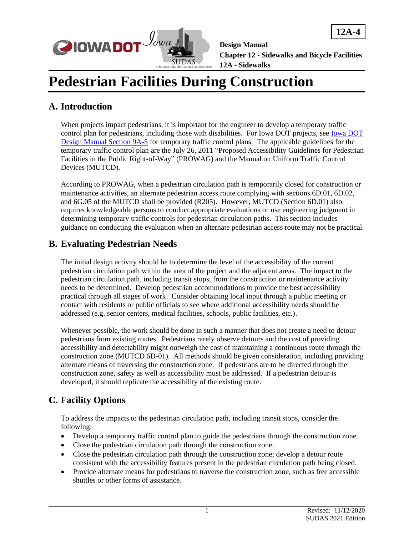

**12A-4**

**Design Manual**

**Chapter 12 - Sidewalks and Bicycle Facilities 12A - Sidewalks**

# **Pedestrian Facilities During Construction**

### **A. Introduction**

When projects impact pedestrians, it is important for the engineer to develop a temporary traffic control plan for pedestrians, including those with disabilities. For Iowa DOT projects, see [Iowa DOT](09a-05.pdf)  [Design Manual Section 9A-5](09a-05.pdf) for temporary traffic control plans. The applicable guidelines for the temporary traffic control plan are the July 26, 2011 "Proposed Accessibility Guidelines for Pedestrian Facilities in the Public Right-of-Way" (PROWAG) and the Manual on Uniform Traffic Control Devices (MUTCD).

According to PROWAG, when a pedestrian circulation path is temporarily closed for construction or maintenance activities, an alternate pedestrian access route complying with sections 6D.01, 6D.02, and 6G.05 of the MUTCD shall be provided (R205). However, MUTCD (Section 6D.01) also requires knowledgeable persons to conduct appropriate evaluations or use engineering judgment in determining temporary traffic controls for pedestrian circulation paths. This section includes guidance on conducting the evaluation when an alternate pedestrian access route may not be practical.

## **B. Evaluating Pedestrian Needs**

The initial design activity should be to determine the level of the accessibility of the current pedestrian circulation path within the area of the project and the adjacent areas. The impact to the pedestrian circulation path, including transit stops, from the construction or maintenance activity needs to be determined. Develop pedestrian accommodations to provide the best accessibility practical through all stages of work. Consider obtaining local input through a public meeting or contact with residents or public officials to see where additional accessibility needs should be addressed (e.g. senior centers, medical facilities, schools, public facilities, etc.).

Whenever possible, the work should be done in such a manner that does not create a need to detour pedestrians from existing routes. Pedestrians rarely observe detours and the cost of providing accessibility and detectability might outweigh the cost of maintaining a continuous route through the construction zone (MUTCD 6D-01). All methods should be given consideration, including providing alternate means of traversing the construction zone. If pedestrians are to be directed through the construction zone, safety as well as accessibility must be addressed. If a pedestrian detour is developed, it should replicate the accessibility of the existing route.

# **C. Facility Options**

To address the impacts to the pedestrian circulation path, including transit stops, consider the following:

- Develop a temporary traffic control plan to guide the pedestrians through the construction zone.
- Close the pedestrian circulation path through the construction zone.
- Close the pedestrian circulation path through the construction zone; develop a detour route consistent with the accessibility features present in the pedestrian circulation path being closed.
- Provide alternate means for pedestrians to traverse the construction zone, such as free accessible shuttles or other forms of assistance.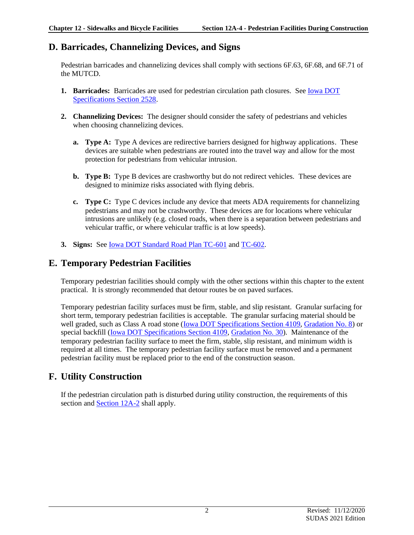#### **D. Barricades, Channelizing Devices, and Signs**

Pedestrian barricades and channelizing devices shall comply with sections 6F.63, 6F.68, and 6F.71 of the MUTCD.

- **1. Barricades:** Barricades are used for pedestrian circulation path closures. See [Iowa DOT](../../erl/current/GS/content/2528.htm)  [Specifications Section 2528.](../../erl/current/GS/content/2528.htm)
- **2. Channelizing Devices:** The designer should consider the safety of pedestrians and vehicles when choosing channelizing devices.
	- **a. Type A:** Type A devices are redirective barriers designed for highway applications. These devices are suitable when pedestrians are routed into the travel way and allow for the most protection for pedestrians from vehicular intrusion.
	- **b. Type B:** Type B devices are crashworthy but do not redirect vehicles. These devices are designed to minimize risks associated with flying debris.
	- **c. Type C:** Type C devices include any device that meets ADA requirements for channelizing pedestrians and may not be crashworthy. These devices are for locations where vehicular intrusions are unlikely (e.g. closed roads, when there is a separation between pedestrians and vehicular traffic, or where vehicular traffic is at low speeds).
- **3. Signs:** See [Iowa DOT Standard Road Plan TC-601](../SRP/IndividualStandards/tc601.pdf) an[d TC-602.](../SRP/IndividualStandards/tc602.pdf)

#### **E. Temporary Pedestrian Facilities**

Temporary pedestrian facilities should comply with the other sections within this chapter to the extent practical. It is strongly recommended that detour routes be on paved surfaces.

Temporary pedestrian facility surfaces must be firm, stable, and slip resistant. Granular surfacing for short term, temporary pedestrian facilities is acceptable. The granular surfacing material should be well graded, such as Class A road stone [\(Iowa DOT Specifications Section 4109,](../../erl/current/GS/content/4109.htm) [Gradation No. 8\)](../../erl/current/GS/content/Appendix.htm#AggregateGradationEnglish) or special backfill (**Iowa DOT Specifications Section 4109**, *Gradation No. 30*). Maintenance of the temporary pedestrian facility surface to meet the firm, stable, slip resistant, and minimum width is required at all times. The temporary pedestrian facility surface must be removed and a permanent pedestrian facility must be replaced prior to the end of the construction season.

## **F. Utility Construction**

If the pedestrian circulation path is disturbed during utility construction, the requirements of this section and **Section 12A-2** shall apply.